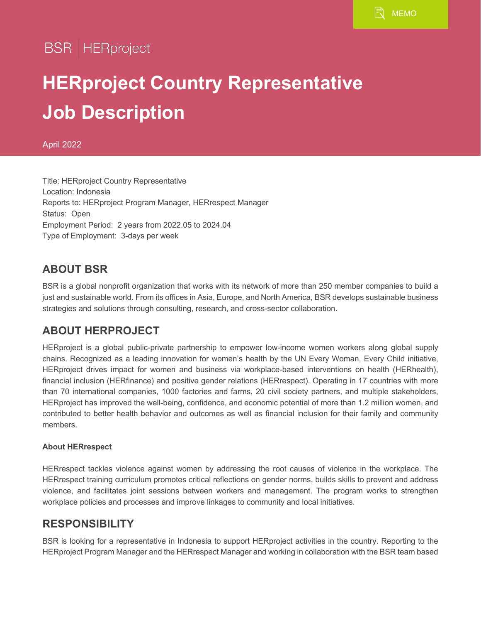**BSR** | HERproject

# **HERproject Country Representative Job Description**

April 2022

Title: HERproject Country Representative Location: Indonesia Reports to: HERproject Program Manager, HERrespect Manager Status: Open Employment Period: 2 years from 2022.05 to 2024.04 Type of Employment: 3-days per week

### **ABOUT BSR**

BSR is a global nonprofit organization that works with its network of more than 250 member companies to build a just and sustainable world. From its offices in Asia, Europe, and North America, BSR develops sustainable business strategies and solutions through consulting, research, and cross-sector collaboration.

#### **ABOUT HERPROJECT**

HERproject is a global public-private partnership to empower low-income women workers along global supply chains. Recognized as a leading innovation for women's health by the UN Every Woman, Every Child initiative, HERproject drives impact for women and business via workplace-based interventions on health (HERhealth), financial inclusion (HERfinance) and positive gender relations (HERrespect). Operating in 17 countries with more than 70 international companies, 1000 factories and farms, 20 civil society partners, and multiple stakeholders, HERproject has improved the well-being, confidence, and economic potential of more than 1.2 million women, and contributed to better health behavior and outcomes as well as financial inclusion for their family and community members.

#### **About HERrespect**

HERrespect tackles violence against women by addressing the root causes of violence in the workplace. The HERrespect training curriculum promotes critical reflections on gender norms, builds skills to prevent and address violence, and facilitates joint sessions between workers and management. The program works to strengthen workplace policies and processes and improve linkages to community and local initiatives.

#### **RESPONSIBILITY**

BSR is looking for a representative in Indonesia to support HERproject activities in the country. Reporting to the HERproject Program Manager and the HERrespect Manager and working in collaboration with the BSR team based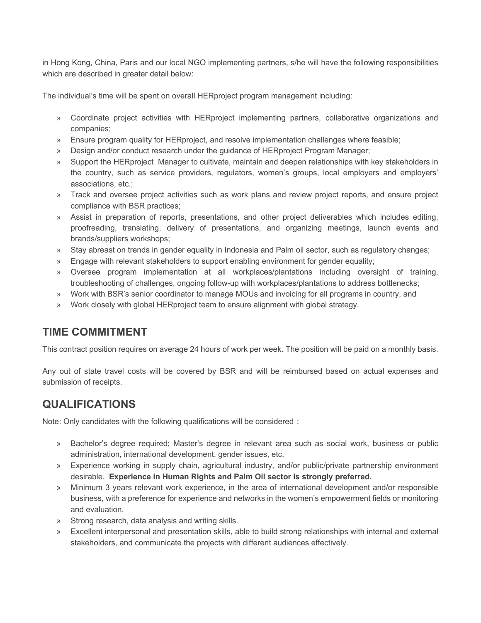in Hong Kong, China, Paris and our local NGO implementing partners, s/he will have the following responsibilities which are described in greater detail below:

The individual's time will be spent on overall HERproject program management including:

- » Coordinate project activities with HERproject implementing partners, collaborative organizations and companies;
- » Ensure program quality for HERproject, and resolve implementation challenges where feasible;
- » Design and/or conduct research under the guidance of HERproject Program Manager;
- » Support the HERproject Manager to cultivate, maintain and deepen relationships with key stakeholders in the country, such as service providers, regulators, women's groups, local employers and employers' associations, etc.;
- » Track and oversee project activities such as work plans and review project reports, and ensure project compliance with BSR practices;
- » Assist in preparation of reports, presentations, and other project deliverables which includes editing, proofreading, translating, delivery of presentations, and organizing meetings, launch events and brands/suppliers workshops;
- » Stay abreast on trends in gender equality in Indonesia and Palm oil sector, such as regulatory changes;
- » Engage with relevant stakeholders to support enabling environment for gender equality;
- » Oversee program implementation at all workplaces/plantations including oversight of training, troubleshooting of challenges, ongoing follow-up with workplaces/plantations to address bottlenecks;
- » Work with BSR's senior coordinator to manage MOUs and invoicing for all programs in country, and
- » Work closely with global HERproject team to ensure alignment with global strategy.

#### **TIME COMMITMENT**

This contract position requires on average 24 hours of work per week. The position will be paid on a monthly basis.

Any out of state travel costs will be covered by BSR and will be reimbursed based on actual expenses and submission of receipts.

#### **QUALIFICATIONS**

Note: Only candidates with the following qualifications will be considered :

- » Bachelor's degree required; Master's degree in relevant area such as social work, business or public administration, international development, gender issues, etc.
- » Experience working in supply chain, agricultural industry, and/or public/private partnership environment desirable. **Experience in Human Rights and Palm Oil sector is strongly preferred.**
- » Minimum 3 years relevant work experience, in the area of international development and/or responsible business, with a preference for experience and networks in the women's empowerment fields or monitoring and evaluation.
- » Strong research, data analysis and writing skills.
- » Excellent interpersonal and presentation skills, able to build strong relationships with internal and external stakeholders, and communicate the projects with different audiences effectively.